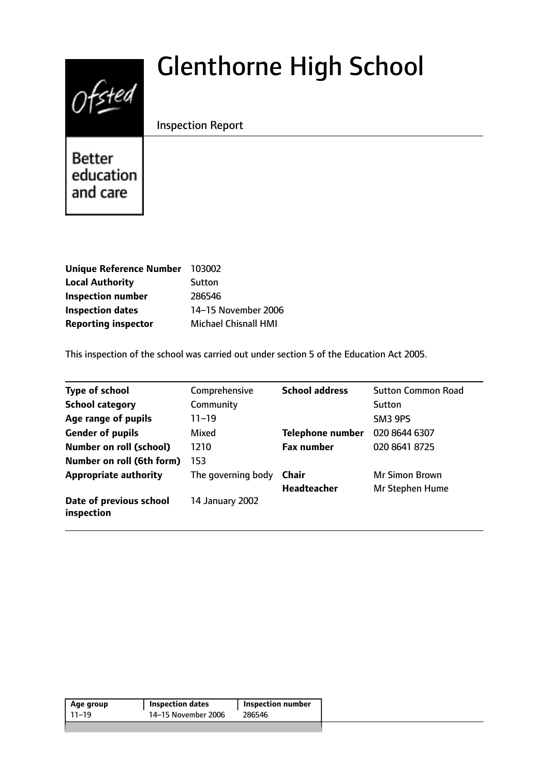# $0$ fsted

# Glenthorne High School

Inspection Report

Better education and care

| <b>Unique Reference Number</b> | 103002               |
|--------------------------------|----------------------|
| <b>Local Authority</b>         | Sutton               |
| <b>Inspection number</b>       | 286546               |
| <b>Inspection dates</b>        | 14-15 November 2006  |
| <b>Reporting inspector</b>     | Michael Chisnall HMI |

This inspection of the school was carried out under section 5 of the Education Act 2005.

| <b>Type of school</b>                 | Comprehensive      | <b>School address</b>   | <b>Sutton Common Road</b> |
|---------------------------------------|--------------------|-------------------------|---------------------------|
| <b>School category</b>                | Community          |                         | Sutton                    |
| Age range of pupils                   | $11 - 19$          |                         | SM3 9PS                   |
| <b>Gender of pupils</b>               | Mixed              | <b>Telephone number</b> | 020 8644 6307             |
| <b>Number on roll (school)</b>        | 1210               | <b>Fax number</b>       | 020 8641 8725             |
| Number on roll (6th form)             | 153                |                         |                           |
| <b>Appropriate authority</b>          | The governing body | Chair                   | <b>Mr Simon Brown</b>     |
|                                       |                    | Headteacher             | Mr Stephen Hume           |
| Date of previous school<br>inspection | 14 January 2002    |                         |                           |

| Age group | <b>Inspection dates</b> | Inspection number |
|-----------|-------------------------|-------------------|
| 11–19     | 14–15 November 2006     | 286546            |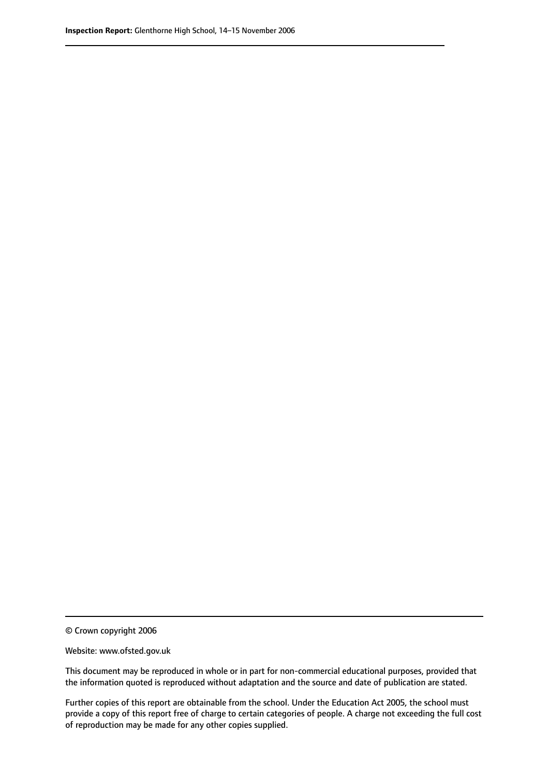© Crown copyright 2006

Website: www.ofsted.gov.uk

This document may be reproduced in whole or in part for non-commercial educational purposes, provided that the information quoted is reproduced without adaptation and the source and date of publication are stated.

Further copies of this report are obtainable from the school. Under the Education Act 2005, the school must provide a copy of this report free of charge to certain categories of people. A charge not exceeding the full cost of reproduction may be made for any other copies supplied.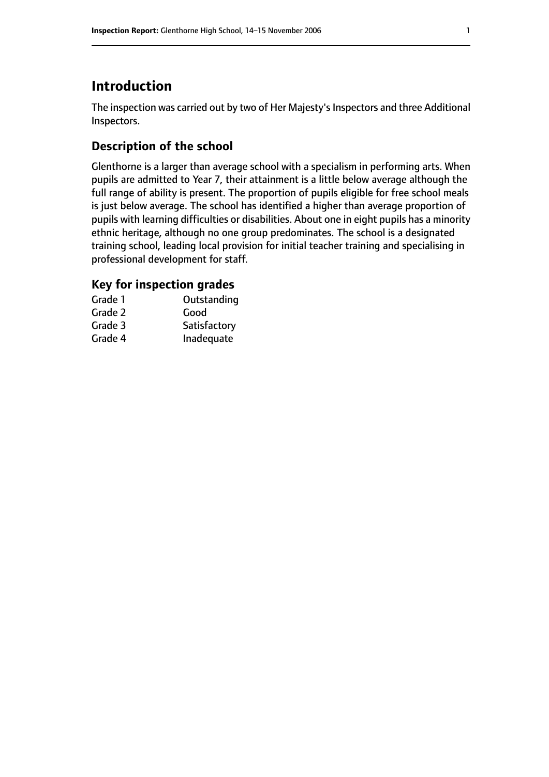# **Introduction**

The inspection was carried out by two of Her Majesty's Inspectors and three Additional Inspectors.

# **Description of the school**

Glenthorne is a larger than average school with a specialism in performing arts. When pupils are admitted to Year 7, their attainment is a little below average although the full range of ability is present. The proportion of pupils eligible for free school meals is just below average. The school has identified a higher than average proportion of pupils with learning difficulties or disabilities. About one in eight pupils has a minority ethnic heritage, although no one group predominates. The school is a designated training school, leading local provision for initial teacher training and specialising in professional development for staff.

# **Key for inspection grades**

| Grade 1 | Outstanding  |
|---------|--------------|
| Grade 2 | Good         |
| Grade 3 | Satisfactory |
| Grade 4 | Inadequate   |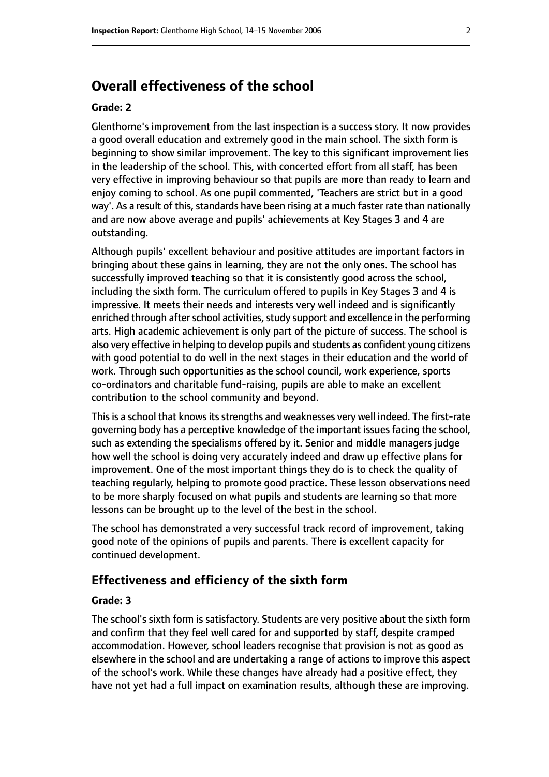# **Overall effectiveness of the school**

#### **Grade: 2**

Glenthorne's improvement from the last inspection is a success story. It now provides a good overall education and extremely good in the main school. The sixth form is beginning to show similar improvement. The key to this significant improvement lies in the leadership of the school. This, with concerted effort from all staff, has been very effective in improving behaviour so that pupils are more than ready to learn and enjoy coming to school. As one pupil commented, 'Teachers are strict but in a good way'. As a result of this, standards have been rising at a much faster rate than nationally and are now above average and pupils' achievements at Key Stages 3 and 4 are outstanding.

Although pupils' excellent behaviour and positive attitudes are important factors in bringing about these gains in learning, they are not the only ones. The school has successfully improved teaching so that it is consistently good across the school, including the sixth form. The curriculum offered to pupils in Key Stages 3 and 4 is impressive. It meets their needs and interests very well indeed and is significantly enriched through after school activities, study support and excellence in the performing arts. High academic achievement is only part of the picture of success. The school is also very effective in helping to develop pupils and students as confident young citizens with good potential to do well in the next stages in their education and the world of work. Through such opportunities as the school council, work experience, sports co-ordinators and charitable fund-raising, pupils are able to make an excellent contribution to the school community and beyond.

This is a school that knows its strengths and weaknesses very well indeed. The first-rate governing body has a perceptive knowledge of the important issues facing the school, such as extending the specialisms offered by it. Senior and middle managers judge how well the school is doing very accurately indeed and draw up effective plans for improvement. One of the most important things they do is to check the quality of teaching regularly, helping to promote good practice. These lesson observations need to be more sharply focused on what pupils and students are learning so that more lessons can be brought up to the level of the best in the school.

The school has demonstrated a very successful track record of improvement, taking good note of the opinions of pupils and parents. There is excellent capacity for continued development.

#### **Effectiveness and efficiency of the sixth form**

#### **Grade: 3**

The school's sixth form is satisfactory. Students are very positive about the sixth form and confirm that they feel well cared for and supported by staff, despite cramped accommodation. However, school leaders recognise that provision is not as good as elsewhere in the school and are undertaking a range of actions to improve this aspect of the school's work. While these changes have already had a positive effect, they have not yet had a full impact on examination results, although these are improving.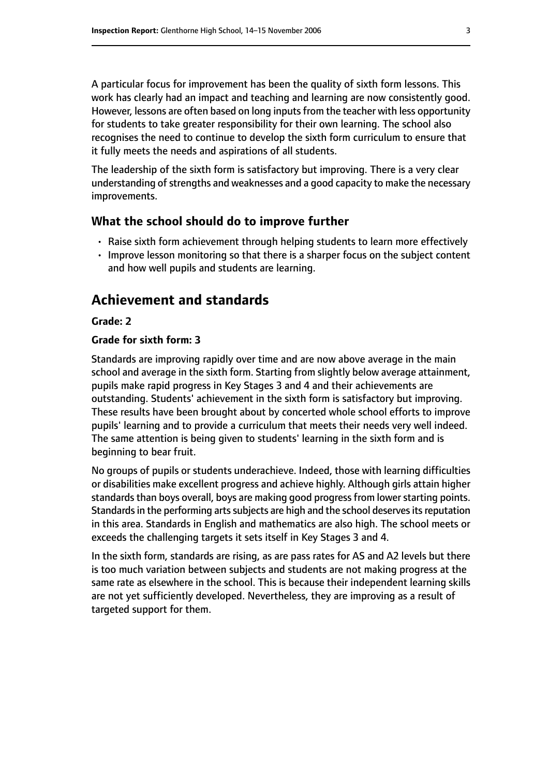A particular focus for improvement has been the quality of sixth form lessons. This work has clearly had an impact and teaching and learning are now consistently good. However, lessons are often based on long inputs from the teacher with less opportunity for students to take greater responsibility for their own learning. The school also recognises the need to continue to develop the sixth form curriculum to ensure that it fully meets the needs and aspirations of all students.

The leadership of the sixth form is satisfactory but improving. There is a very clear understanding of strengths and weaknesses and a good capacity to make the necessary improvements.

#### **What the school should do to improve further**

- Raise sixth form achievement through helping students to learn more effectively
- Improve lesson monitoring so that there is a sharper focus on the subject content and how well pupils and students are learning.

# **Achievement and standards**

#### **Grade: 2**

#### **Grade for sixth form: 3**

Standards are improving rapidly over time and are now above average in the main school and average in the sixth form. Starting from slightly below average attainment, pupils make rapid progress in Key Stages 3 and 4 and their achievements are outstanding. Students' achievement in the sixth form is satisfactory but improving. These results have been brought about by concerted whole school efforts to improve pupils' learning and to provide a curriculum that meets their needs very well indeed. The same attention is being given to students' learning in the sixth form and is beginning to bear fruit.

No groups of pupils or students underachieve. Indeed, those with learning difficulties or disabilities make excellent progress and achieve highly. Although girls attain higher standards than boys overall, boys are making good progress from lower starting points. Standards in the performing arts subjects are high and the school deserves its reputation in this area. Standards in English and mathematics are also high. The school meets or exceeds the challenging targets it sets itself in Key Stages 3 and 4.

In the sixth form, standards are rising, as are pass rates for AS and A2 levels but there is too much variation between subjects and students are not making progress at the same rate as elsewhere in the school. This is because their independent learning skills are not yet sufficiently developed. Nevertheless, they are improving as a result of targeted support for them.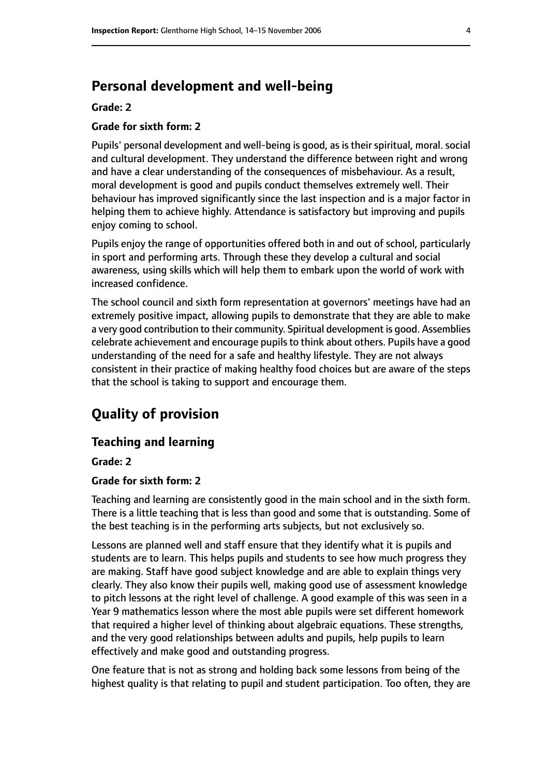# **Personal development and well-being**

#### **Grade: 2**

#### **Grade for sixth form: 2**

Pupils' personal development and well-being is good, as is their spiritual, moral. social and cultural development. They understand the difference between right and wrong and have a clear understanding of the consequences of misbehaviour. As a result, moral development is good and pupils conduct themselves extremely well. Their behaviour has improved significantly since the last inspection and is a major factor in helping them to achieve highly. Attendance is satisfactory but improving and pupils enjoy coming to school.

Pupils enjoy the range of opportunities offered both in and out of school, particularly in sport and performing arts. Through these they develop a cultural and social awareness, using skills which will help them to embark upon the world of work with increased confidence.

The school council and sixth form representation at governors' meetings have had an extremely positive impact, allowing pupils to demonstrate that they are able to make a very good contribution to their community. Spiritual development is good. Assemblies celebrate achievement and encourage pupils to think about others. Pupils have a good understanding of the need for a safe and healthy lifestyle. They are not always consistent in their practice of making healthy food choices but are aware of the steps that the school is taking to support and encourage them.

# **Quality of provision**

#### **Teaching and learning**

**Grade: 2**

#### **Grade for sixth form: 2**

Teaching and learning are consistently good in the main school and in the sixth form. There is a little teaching that is less than good and some that is outstanding. Some of the best teaching is in the performing arts subjects, but not exclusively so.

Lessons are planned well and staff ensure that they identify what it is pupils and students are to learn. This helps pupils and students to see how much progress they are making. Staff have good subject knowledge and are able to explain things very clearly. They also know their pupils well, making good use of assessment knowledge to pitch lessons at the right level of challenge. A good example of this was seen in a Year 9 mathematics lesson where the most able pupils were set different homework that required a higher level of thinking about algebraic equations. These strengths, and the very good relationships between adults and pupils, help pupils to learn effectively and make good and outstanding progress.

One feature that is not as strong and holding back some lessons from being of the highest quality is that relating to pupil and student participation. Too often, they are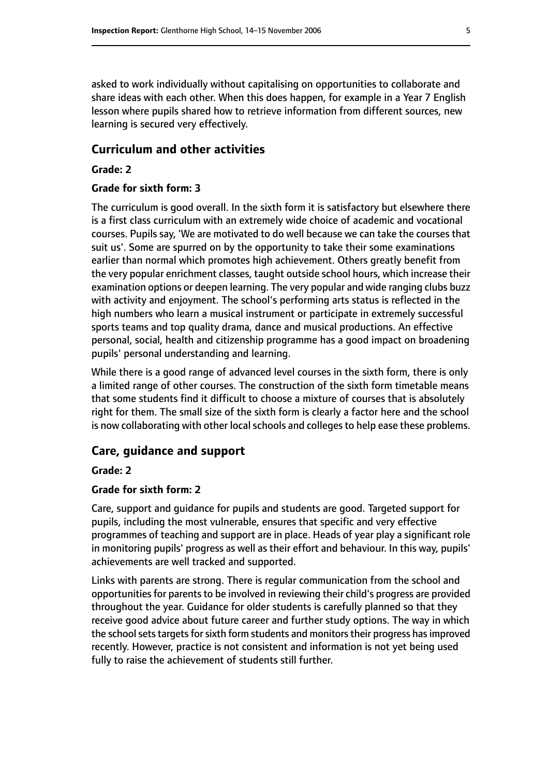asked to work individually without capitalising on opportunities to collaborate and share ideas with each other. When this does happen, for example in a Year 7 English lesson where pupils shared how to retrieve information from different sources, new learning is secured very effectively.

#### **Curriculum and other activities**

#### **Grade: 2**

#### **Grade for sixth form: 3**

The curriculum is good overall. In the sixth form it is satisfactory but elsewhere there is a first class curriculum with an extremely wide choice of academic and vocational courses. Pupils say, 'We are motivated to do well because we can take the courses that suit us'. Some are spurred on by the opportunity to take their some examinations earlier than normal which promotes high achievement. Others greatly benefit from the very popular enrichment classes, taught outside school hours, which increase their examination options or deepen learning. The very popular and wide ranging clubs buzz with activity and enjoyment. The school's performing arts status is reflected in the high numbers who learn a musical instrument or participate in extremely successful sports teams and top quality drama, dance and musical productions. An effective personal, social, health and citizenship programme has a good impact on broadening pupils' personal understanding and learning.

While there is a good range of advanced level courses in the sixth form, there is only a limited range of other courses. The construction of the sixth form timetable means that some students find it difficult to choose a mixture of courses that is absolutely right for them. The small size of the sixth form is clearly a factor here and the school is now collaborating with other local schools and colleges to help ease these problems.

#### **Care, guidance and support**

#### **Grade: 2**

#### **Grade for sixth form: 2**

Care, support and guidance for pupils and students are good. Targeted support for pupils, including the most vulnerable, ensures that specific and very effective programmes of teaching and support are in place. Heads of year play a significant role in monitoring pupils' progress as well as their effort and behaviour. In this way, pupils' achievements are well tracked and supported.

Links with parents are strong. There is regular communication from the school and opportunities for parents to be involved in reviewing their child's progress are provided throughout the year. Guidance for older students is carefully planned so that they receive good advice about future career and further study options. The way in which the school sets targets for sixth form students and monitors their progress has improved recently. However, practice is not consistent and information is not yet being used fully to raise the achievement of students still further.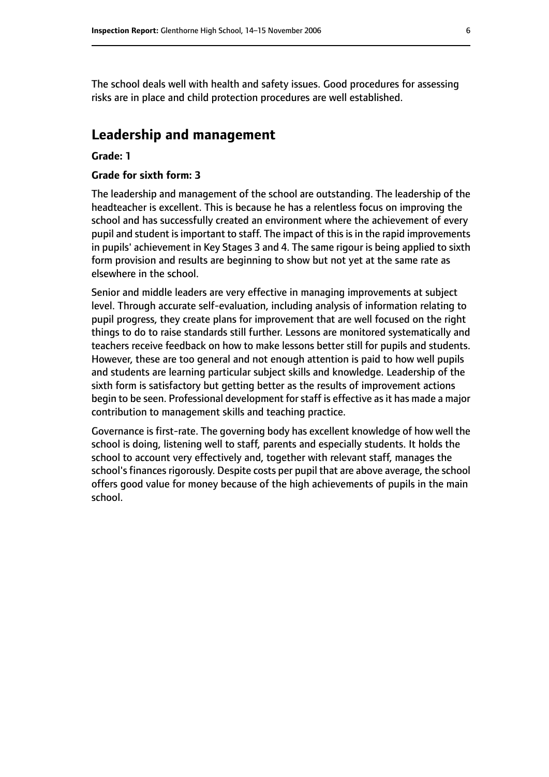The school deals well with health and safety issues. Good procedures for assessing risks are in place and child protection procedures are well established.

### **Leadership and management**

#### **Grade: 1**

#### **Grade for sixth form: 3**

The leadership and management of the school are outstanding. The leadership of the headteacher is excellent. This is because he has a relentless focus on improving the school and has successfully created an environment where the achievement of every pupil and student is important to staff. The impact of this is in the rapid improvements in pupils' achievement in Key Stages 3 and 4. The same rigour is being applied to sixth form provision and results are beginning to show but not yet at the same rate as elsewhere in the school.

Senior and middle leaders are very effective in managing improvements at subject level. Through accurate self-evaluation, including analysis of information relating to pupil progress, they create plans for improvement that are well focused on the right things to do to raise standards still further. Lessons are monitored systematically and teachers receive feedback on how to make lessons better still for pupils and students. However, these are too general and not enough attention is paid to how well pupils and students are learning particular subject skills and knowledge. Leadership of the sixth form is satisfactory but getting better as the results of improvement actions begin to be seen. Professional development for staff is effective as it has made a major contribution to management skills and teaching practice.

Governance is first-rate. The governing body has excellent knowledge of how well the school is doing, listening well to staff, parents and especially students. It holds the school to account very effectively and, together with relevant staff, manages the school's finances rigorously. Despite costs per pupil that are above average, the school offers good value for money because of the high achievements of pupils in the main school.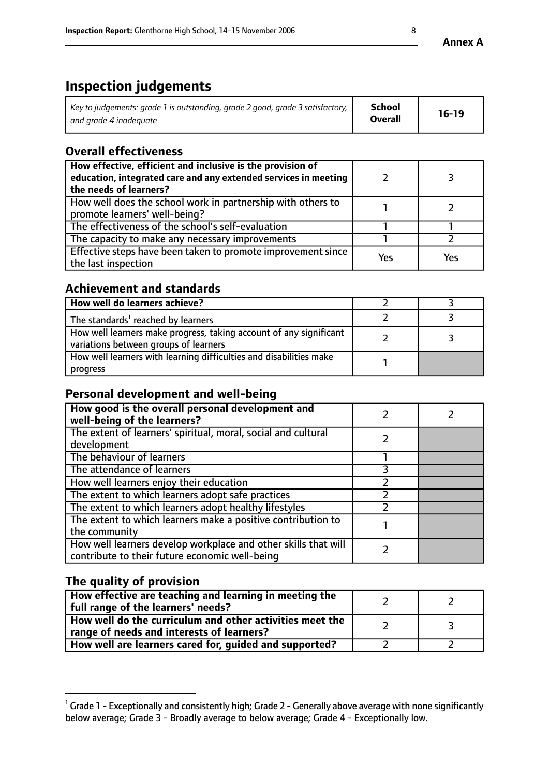# **Inspection judgements**

| Key to judgements: grade 1 is outstanding, grade 2 good, grade 3 satisfactory, 1 | <b>School</b>  | $16-19$ |
|----------------------------------------------------------------------------------|----------------|---------|
| and grade 4 inadeguate                                                           | <b>Overall</b> |         |

# **Overall effectiveness**

| How effective, efficient and inclusive is the provision of<br>education, integrated care and any extended services in meeting<br>the needs of learners? |     |     |
|---------------------------------------------------------------------------------------------------------------------------------------------------------|-----|-----|
| How well does the school work in partnership with others to<br>promote learners' well-being?                                                            |     |     |
| The effectiveness of the school's self-evaluation                                                                                                       |     |     |
| The capacity to make any necessary improvements                                                                                                         |     |     |
| Effective steps have been taken to promote improvement since<br>the last inspection                                                                     | Yes | Υρς |

## **Achievement and standards**

| How well do learners achieve?                                                                               |  |
|-------------------------------------------------------------------------------------------------------------|--|
| The standards <sup>1</sup> reached by learners                                                              |  |
| How well learners make progress, taking account of any significant<br>variations between groups of learners |  |
| How well learners with learning difficulties and disabilities make<br>progress                              |  |

# **Personal development and well-being**

| How good is the overall personal development and<br>well-being of the learners?                                  |  |
|------------------------------------------------------------------------------------------------------------------|--|
| The extent of learners' spiritual, moral, social and cultural<br>development                                     |  |
| The behaviour of learners                                                                                        |  |
| The attendance of learners                                                                                       |  |
| How well learners enjoy their education                                                                          |  |
| The extent to which learners adopt safe practices                                                                |  |
| The extent to which learners adopt healthy lifestyles                                                            |  |
| The extent to which learners make a positive contribution to<br>the community                                    |  |
| How well learners develop workplace and other skills that will<br>contribute to their future economic well-being |  |

# **The quality of provision**

| How effective are teaching and learning in meeting the<br>full range of the learners' needs?          |  |
|-------------------------------------------------------------------------------------------------------|--|
| How well do the curriculum and other activities meet the<br>range of needs and interests of learners? |  |
| How well are learners cared for, guided and supported?                                                |  |

 $^1$  Grade 1 - Exceptionally and consistently high; Grade 2 - Generally above average with none significantly below average; Grade 3 - Broadly average to below average; Grade 4 - Exceptionally low.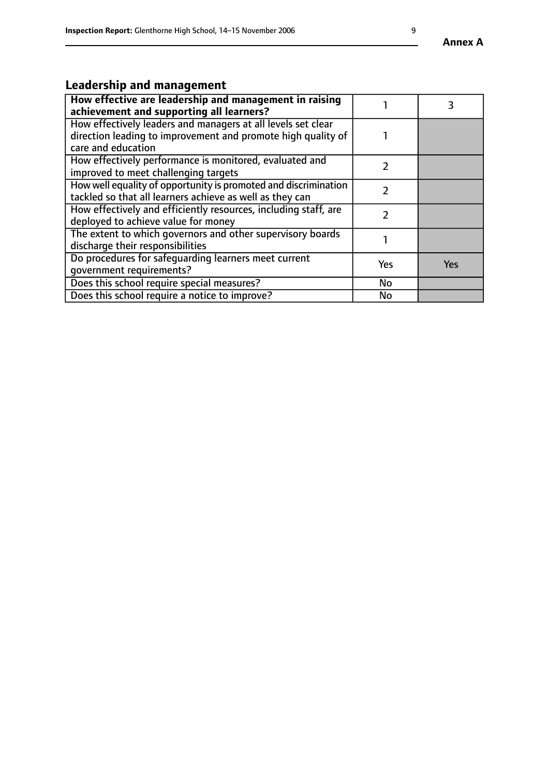# **Leadership and management**

| How effective are leadership and management in raising<br>achievement and supporting all learners?                                                 |     |            |
|----------------------------------------------------------------------------------------------------------------------------------------------------|-----|------------|
| How effectively leaders and managers at all levels set clear<br>direction leading to improvement and promote high quality of<br>care and education |     |            |
| How effectively performance is monitored, evaluated and<br>improved to meet challenging targets                                                    |     |            |
| How well equality of opportunity is promoted and discrimination<br>tackled so that all learners achieve as well as they can                        |     |            |
| How effectively and efficiently resources, including staff, are<br>deployed to achieve value for money                                             |     |            |
| The extent to which governors and other supervisory boards<br>discharge their responsibilities                                                     |     |            |
| Do procedures for safeguarding learners meet current<br>qovernment requirements?                                                                   | Yes | <b>Yes</b> |
| Does this school require special measures?                                                                                                         | No  |            |
| Does this school require a notice to improve?                                                                                                      | No  |            |